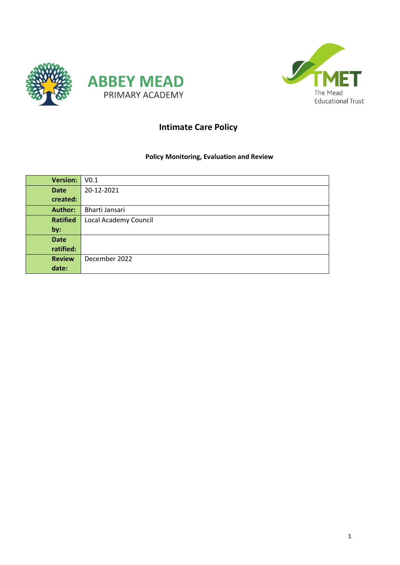



# Intimate Care Policy

### Policy Monitoring, Evaluation and Review

| <b>Version:</b> | V <sub>0.1</sub>      |
|-----------------|-----------------------|
| <b>Date</b>     | 20-12-2021            |
| created:        |                       |
| <b>Author:</b>  | Bharti Jansari        |
| <b>Ratified</b> | Local Academy Council |
| by:             |                       |
| <b>Date</b>     |                       |
| ratified:       |                       |
| <b>Review</b>   | December 2022         |
| date:           |                       |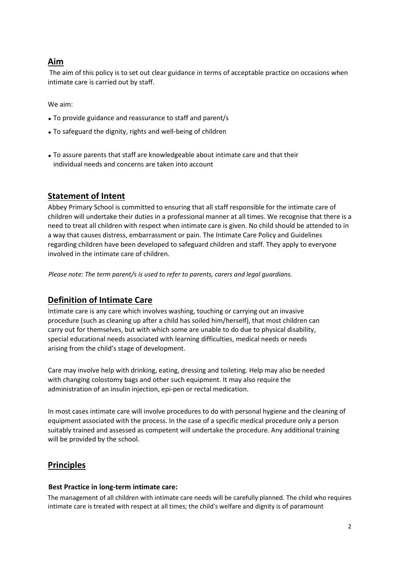## Aim

The aim of this policy is to set out clear guidance in terms of acceptable practice on occasions when intimate care is carried out by staff.

We aim:

- To provide guidance and reassurance to staff and parent/s
- To safeguard the dignity, rights and well-being of children
- To assure parents that staff are knowledgeable about intimate care and that their individual needs and concerns are taken into account

# Statement of Intent

Abbey Primary School is committed to ensuring that all staff responsible for the intimate care of children will undertake their duties in a professional manner at all times. We recognise that there is a need to treat all children with respect when intimate care is given. No child should be attended to in a way that causes distress, embarrassment or pain. The Intimate Care Policy and Guidelines regarding children have been developed to safeguard children and staff. They apply to everyone involved in the intimate care of children.

Please note: The term parent/s is used to refer to parents, carers and legal guardians.

## Definition of Intimate Care

Intimate care is any care which involves washing, touching or carrying out an invasive procedure (such as cleaning up after a child has soiled him/herself), that most children can carry out for themselves, but with which some are unable to do due to physical disability, special educational needs associated with learning difficulties, medical needs or needs arising from the child's stage of development.

Care may involve help with drinking, eating, dressing and toileting. Help may also be needed with changing colostomy bags and other such equipment. It may also require the administration of an insulin injection, epi-pen or rectal medication.

In most cases intimate care will involve procedures to do with personal hygiene and the cleaning of equipment associated with the process. In the case of a specific medical procedure only a person suitably trained and assessed as competent will undertake the procedure. Any additional training will be provided by the school.

## **Principles**

#### Best Practice in long-term intimate care:

The management of all children with intimate care needs will be carefully planned. The child who requires intimate care is treated with respect at all times; the child's welfare and dignity is of paramount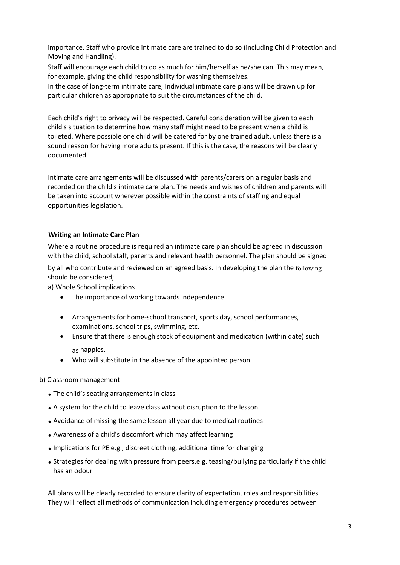importance. Staff who provide intimate care are trained to do so (including Child Protection and Moving and Handling).

Staff will encourage each child to do as much for him/herself as he/she can. This may mean, for example, giving the child responsibility for washing themselves.

In the case of long-term intimate care, Individual intimate care plans will be drawn up for particular children as appropriate to suit the circumstances of the child.

Each child's right to privacy will be respected. Careful consideration will be given to each child's situation to determine how many staff might need to be present when a child is toileted. Where possible one child will be catered for by one trained adult, unless there is a sound reason for having more adults present. If this is the case, the reasons will be clearly documented.

Intimate care arrangements will be discussed with parents/carers on a regular basis and recorded on the child's intimate care plan. The needs and wishes of children and parents will be taken into account wherever possible within the constraints of staffing and equal opportunities legislation.

#### Writing an Intimate Care Plan

Where a routine procedure is required an intimate care plan should be agreed in discussion with the child, school staff, parents and relevant health personnel. The plan should be signed

by all who contribute and reviewed on an agreed basis. In developing the plan the following should be considered;

a) Whole School implications

- The importance of working towards independence
- Arrangements for home-school transport, sports day, school performances, examinations, school trips, swimming, etc.
- Ensure that there is enough stock of equipment and medication (within date) such as nappies.
- Who will substitute in the absence of the appointed person.

#### b) Classroom management

- The child's seating arrangements in class
- A system for the child to leave class without disruption to the lesson
- Avoidance of missing the same lesson all year due to medical routines
- Awareness of a child's discomfort which may affect learning
- Implications for PE e.g., discreet clothing, additional time for changing
- Strategies for dealing with pressure from peers.e.g. teasing/bullying particularly if the child has an odour

All plans will be clearly recorded to ensure clarity of expectation, roles and responsibilities. They will reflect all methods of communication including emergency procedures between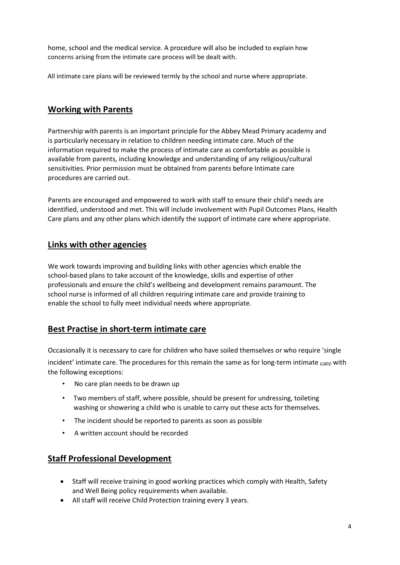home, school and the medical service. A procedure will also be included to explain how concerns arising from the intimate care process will be dealt with.

All intimate care plans will be reviewed termly by the school and nurse where appropriate.

## Working with Parents

Partnership with parents is an important principle for the Abbey Mead Primary academy and is particularly necessary in relation to children needing intimate care. Much of the information required to make the process of intimate care as comfortable as possible is available from parents, including knowledge and understanding of any religious/cultural sensitivities. Prior permission must be obtained from parents before Intimate care procedures are carried out.

Parents are encouraged and empowered to work with staff to ensure their child's needs are identified, understood and met. This will include involvement with Pupil Outcomes Plans, Health Care plans and any other plans which identify the support of intimate care where appropriate.

### Links with other agencies

We work towards improving and building links with other agencies which enable the school-based plans to take account of the knowledge, skills and expertise of other professionals and ensure the child's wellbeing and development remains paramount. The school nurse is informed of all children requiring intimate care and provide training to enable the school to fully meet individual needs where appropriate.

## Best Practise in short-term intimate care

Occasionally it is necessary to care for children who have soiled themselves or who require 'single incident' intimate care. The procedures for this remain the same as for long-term intimate  $_{\rm care}$  with the following exceptions:

- No care plan needs to be drawn up
- Two members of staff, where possible, should be present for undressing, toileting washing or showering a child who is unable to carry out these acts for themselves.
- The incident should be reported to parents as soon as possible
- A written account should be recorded

## Staff Professional Development

- Staff will receive training in good working practices which comply with Health, Safety and Well Being policy requirements when available.
- All staff will receive Child Protection training every 3 years.